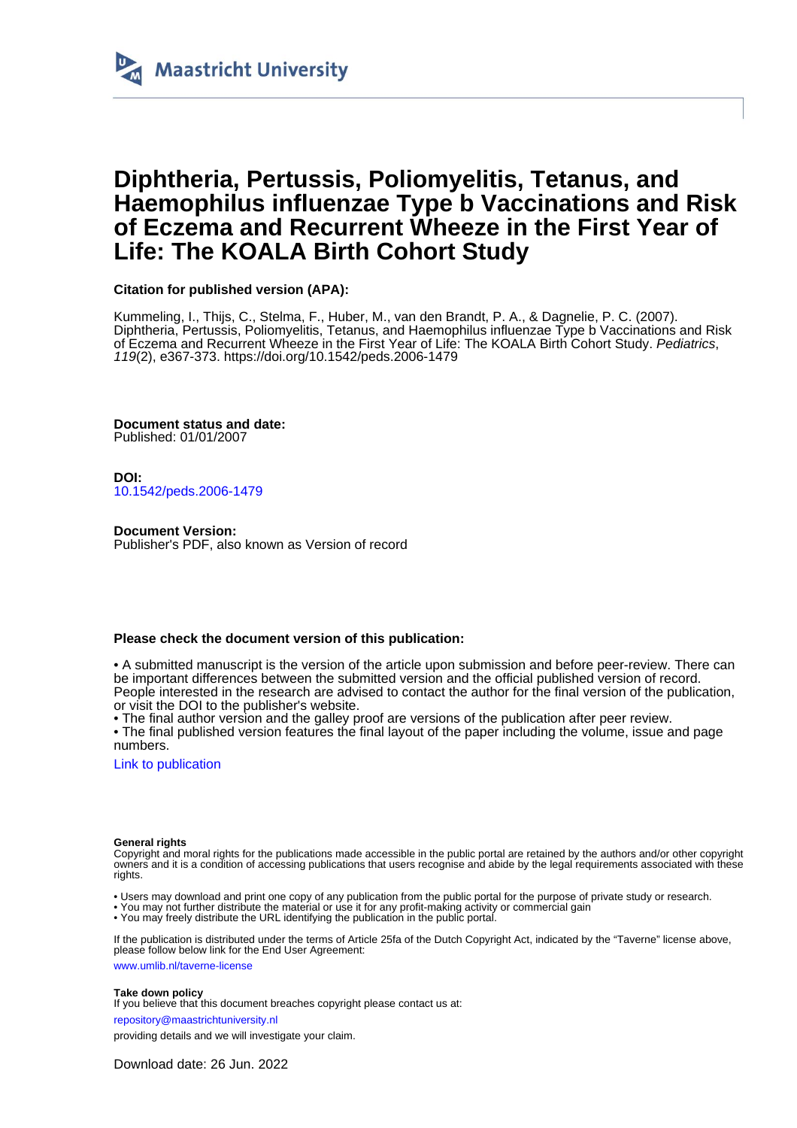

# **Diphtheria, Pertussis, Poliomyelitis, Tetanus, and Haemophilus influenzae Type b Vaccinations and Risk of Eczema and Recurrent Wheeze in the First Year of Life: The KOALA Birth Cohort Study**

# **Citation for published version (APA):**

Kummeling, I., Thijs, C., Stelma, F., Huber, M., van den Brandt, P. A., & Dagnelie, P. C. (2007). Diphtheria, Pertussis, Poliomyelitis, Tetanus, and Haemophilus influenzae Type b Vaccinations and Risk of Eczema and Recurrent Wheeze in the First Year of Life: The KOALA Birth Cohort Study. Pediatrics, 119(2), e367-373.<https://doi.org/10.1542/peds.2006-1479>

**Document status and date:** Published: 01/01/2007

**DOI:** [10.1542/peds.2006-1479](https://doi.org/10.1542/peds.2006-1479)

**Document Version:** Publisher's PDF, also known as Version of record

# **Please check the document version of this publication:**

• A submitted manuscript is the version of the article upon submission and before peer-review. There can be important differences between the submitted version and the official published version of record. People interested in the research are advised to contact the author for the final version of the publication, or visit the DOI to the publisher's website.

• The final author version and the galley proof are versions of the publication after peer review.

• The final published version features the final layout of the paper including the volume, issue and page numbers.

[Link to publication](https://cris.maastrichtuniversity.nl/en/publications/510873ac-45f4-435a-90a7-094d99a0448a)

## **General rights**

Copyright and moral rights for the publications made accessible in the public portal are retained by the authors and/or other copyright owners and it is a condition of accessing publications that users recognise and abide by the legal requirements associated with these rights.

• Users may download and print one copy of any publication from the public portal for the purpose of private study or research.

• You may not further distribute the material or use it for any profit-making activity or commercial gain

• You may freely distribute the URL identifying the publication in the public portal.

If the publication is distributed under the terms of Article 25fa of the Dutch Copyright Act, indicated by the "Taverne" license above, please follow below link for the End User Agreement:

www.umlib.nl/taverne-license

# **Take down policy**

If you believe that this document breaches copyright please contact us at:

repository@maastrichtuniversity.nl

providing details and we will investigate your claim.

Download date: 26 Jun. 2022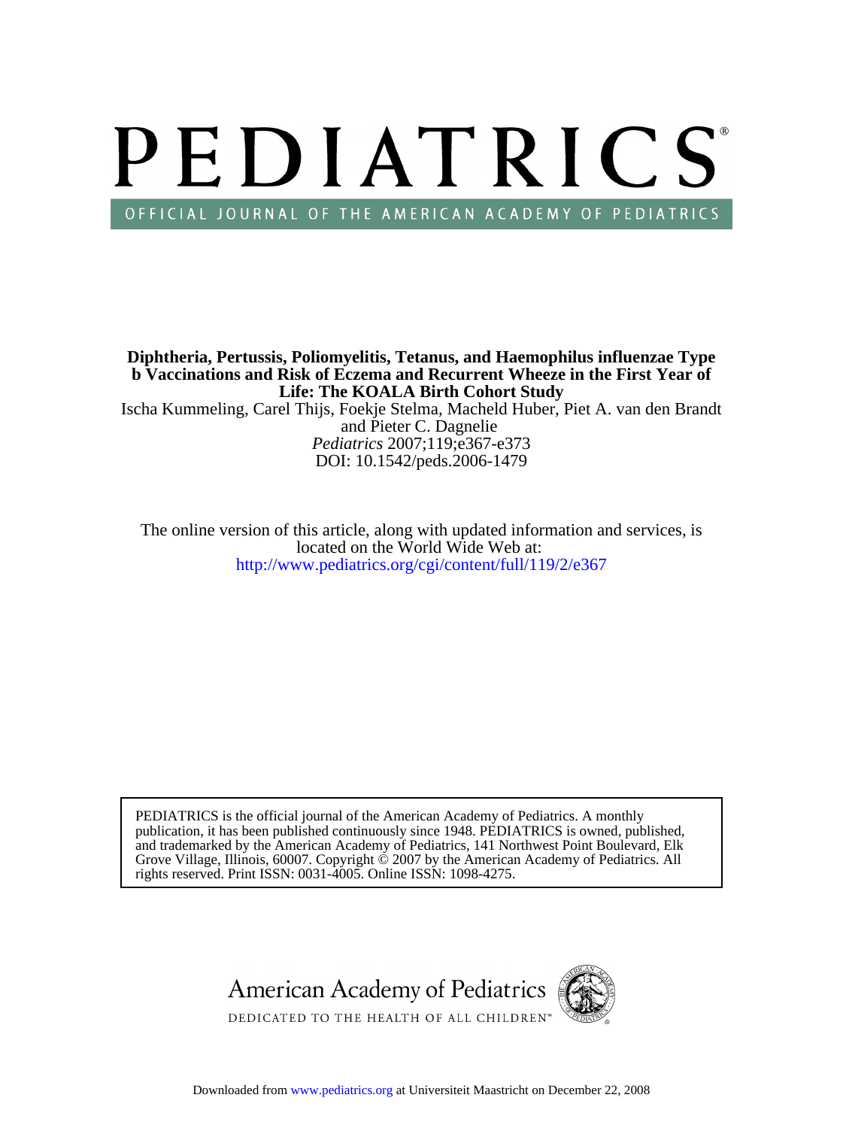# PEDIATRICS OFFICIAL JOURNAL OF THE AMERICAN ACADEMY OF PEDIATRICS

**Life: The KOALA Birth Cohort Study b Vaccinations and Risk of Eczema and Recurrent Wheeze in the First Year of Diphtheria, Pertussis, Poliomyelitis, Tetanus, and Haemophilus influenzae Type**

DOI: 10.1542/peds.2006-1479 *Pediatrics* 2007;119;e367-e373 and Pieter C. Dagnelie Ischa Kummeling, Carel Thijs, Foekje Stelma, Macheld Huber, Piet A. van den Brandt

<http://www.pediatrics.org/cgi/content/full/119/2/e367> located on the World Wide Web at: The online version of this article, along with updated information and services, is

rights reserved. Print ISSN: 0031-4005. Online ISSN: 1098-4275. Grove Village, Illinois, 60007. Copyright  $\ddot{\odot}$  2007 by the American Academy of Pediatrics. All and trademarked by the American Academy of Pediatrics, 141 Northwest Point Boulevard, Elk publication, it has been published continuously since 1948. PEDIATRICS is owned, published, PEDIATRICS is the official journal of the American Academy of Pediatrics. A monthly

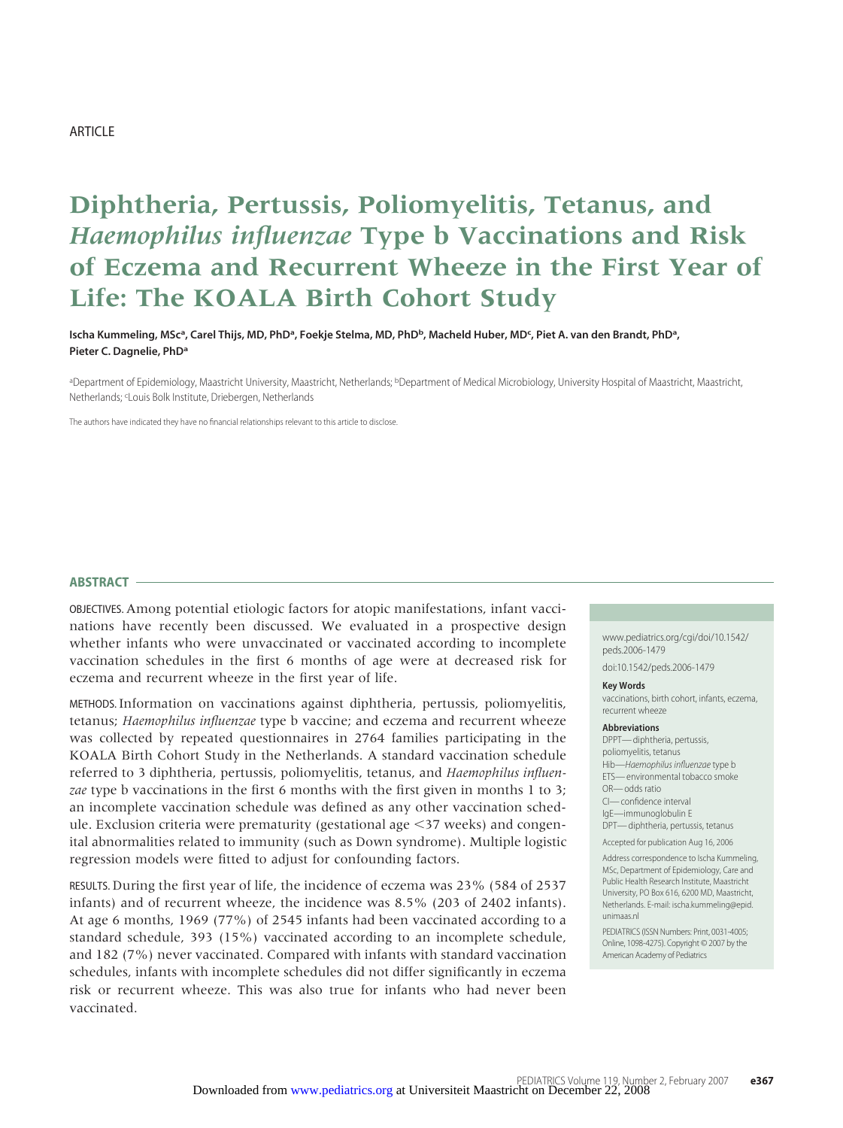# ARTICLE

# **Diphtheria, Pertussis, Poliomyelitis, Tetanus, and** *Haemophilus influenzae* **Type b Vaccinations and Risk of Eczema and Recurrent Wheeze in the First Year of Life: The KOALA Birth Cohort Study**

**Ischa Kummeling, MSca, Carel Thijs, MD, PhDa, Foekje Stelma, MD, PhDb, Macheld Huber, MDc , Piet A. van den Brandt, PhDa, Pieter C. Dagnelie, PhDa**

aDepartment of Epidemiology, Maastricht University, Maastricht, Netherlands; <sup>b</sup>Department of Medical Microbiology, University Hospital of Maastricht, Maastricht, Netherlands; <sup>c</sup>Louis Bolk Institute, Driebergen, Netherlands

The authors have indicated they have no financial relationships relevant to this article to disclose.

#### **ABSTRACT**

OBJECTIVES. Among potential etiologic factors for atopic manifestations, infant vaccinations have recently been discussed. We evaluated in a prospective design whether infants who were unvaccinated or vaccinated according to incomplete vaccination schedules in the first 6 months of age were at decreased risk for eczema and recurrent wheeze in the first year of life.

METHODS. Information on vaccinations against diphtheria, pertussis, poliomyelitis, tetanus; *Haemophilus influenzae* type b vaccine; and eczema and recurrent wheeze was collected by repeated questionnaires in 2764 families participating in the KOALA Birth Cohort Study in the Netherlands. A standard vaccination schedule referred to 3 diphtheria, pertussis, poliomyelitis, tetanus, and *Haemophilus influenzae* type b vaccinations in the first 6 months with the first given in months 1 to 3; an incomplete vaccination schedule was defined as any other vaccination schedule. Exclusion criteria were prematurity (gestational age  $\leq$ 37 weeks) and congenital abnormalities related to immunity (such as Down syndrome). Multiple logistic regression models were fitted to adjust for confounding factors.

RESULTS. During the first year of life, the incidence of eczema was 23% (584 of 2537 infants) and of recurrent wheeze, the incidence was 8.5% (203 of 2402 infants). At age 6 months, 1969 (77%) of 2545 infants had been vaccinated according to a standard schedule, 393 (15%) vaccinated according to an incomplete schedule, and 182 (7%) never vaccinated. Compared with infants with standard vaccination schedules, infants with incomplete schedules did not differ significantly in eczema risk or recurrent wheeze. This was also true for infants who had never been vaccinated.

www.pediatrics.org/cgi/doi/10.1542/ peds.2006-1479

doi:10.1542/peds.2006-1479

# **Key Words**

vaccinations, birth cohort, infants, eczema, recurrent wheeze

#### **Abbreviations**

DPPT—diphtheria, pertussis, poliomyelitis, tetanus Hib-Haemophilus influenzae type b ETS— environmental tobacco smoke OR— odds ratio CI— confidence interval IgE—immunoglobulin E

DPT—diphtheria, pertussis, tetanus

Accepted for publication Aug 16, 2006

Address correspondence to Ischa Kummeling, MSc, Department of Epidemiology, Care and Public Health Research Institute, Maastricht University, PO Box 616, 6200 MD, Maastricht, Netherlands. E-mail: ischa.kummeling@epid. unimaas.nl

PEDIATRICS (ISSN Numbers: Print, 0031-4005; Online, 1098-4275). Copyright © 2007 by the American Academy of Pediatrics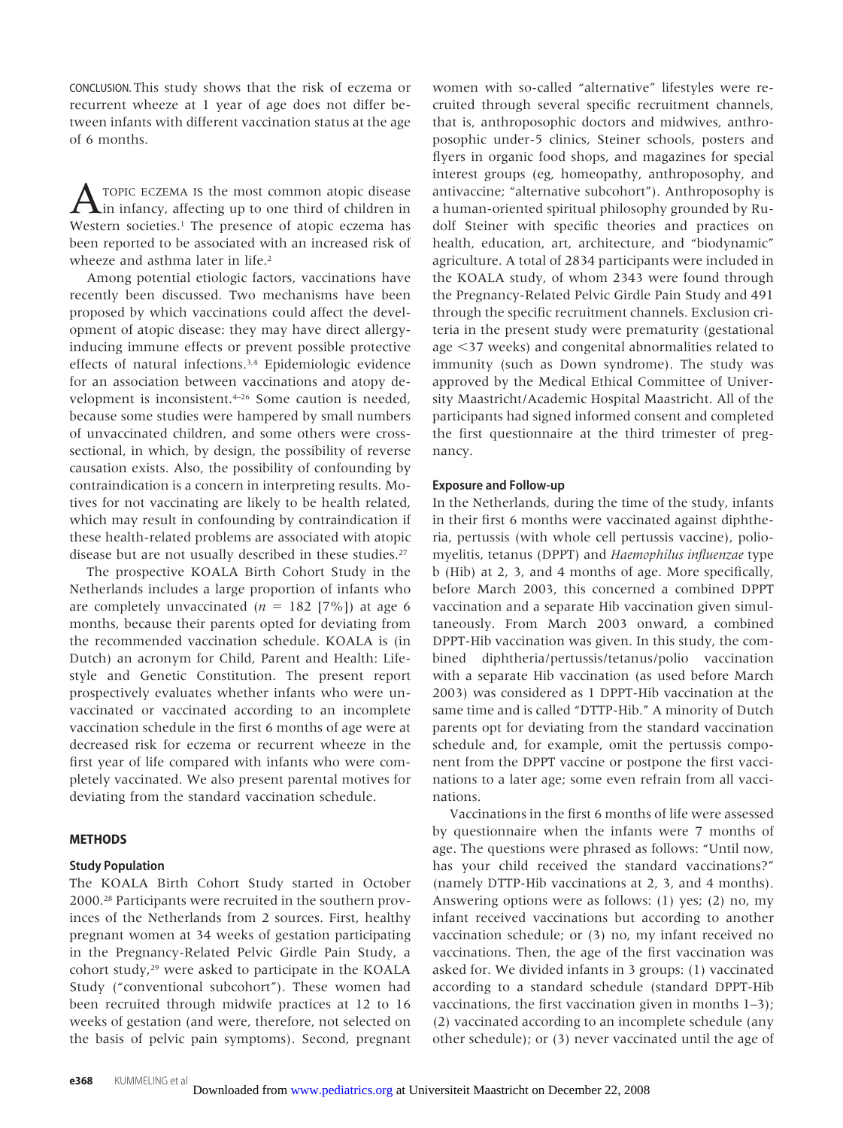CONCLUSION. This study shows that the risk of eczema or recurrent wheeze at 1 year of age does not differ between infants with different vaccination status at the age of 6 months.

A TOPIC ECZEMA IS the most common atopic disease<br>in infancy, affecting up to one third of children in Western societies.<sup>1</sup> The presence of atopic eczema has been reported to be associated with an increased risk of wheeze and asthma later in life.<sup>2</sup>

Among potential etiologic factors, vaccinations have recently been discussed. Two mechanisms have been proposed by which vaccinations could affect the development of atopic disease: they may have direct allergyinducing immune effects or prevent possible protective effects of natural infections.3,4 Epidemiologic evidence for an association between vaccinations and atopy development is inconsistent.4–26 Some caution is needed, because some studies were hampered by small numbers of unvaccinated children, and some others were crosssectional, in which, by design, the possibility of reverse causation exists. Also, the possibility of confounding by contraindication is a concern in interpreting results. Motives for not vaccinating are likely to be health related, which may result in confounding by contraindication if these health-related problems are associated with atopic disease but are not usually described in these studies.<sup>27</sup>

The prospective KOALA Birth Cohort Study in the Netherlands includes a large proportion of infants who are completely unvaccinated  $(n = 182 [7\%])$  at age 6 months, because their parents opted for deviating from the recommended vaccination schedule. KOALA is (in Dutch) an acronym for Child, Parent and Health: Lifestyle and Genetic Constitution. The present report prospectively evaluates whether infants who were unvaccinated or vaccinated according to an incomplete vaccination schedule in the first 6 months of age were at decreased risk for eczema or recurrent wheeze in the first year of life compared with infants who were completely vaccinated. We also present parental motives for deviating from the standard vaccination schedule.

# **METHODS**

# **Study Population**

The KOALA Birth Cohort Study started in October 2000.28 Participants were recruited in the southern provinces of the Netherlands from 2 sources. First, healthy pregnant women at 34 weeks of gestation participating in the Pregnancy-Related Pelvic Girdle Pain Study, a cohort study,29 were asked to participate in the KOALA Study ("conventional subcohort"). These women had been recruited through midwife practices at 12 to 16 weeks of gestation (and were, therefore, not selected on the basis of pelvic pain symptoms). Second, pregnant

women with so-called "alternative" lifestyles were recruited through several specific recruitment channels, that is, anthroposophic doctors and midwives, anthroposophic under-5 clinics, Steiner schools, posters and flyers in organic food shops, and magazines for special interest groups (eg, homeopathy, anthroposophy, and antivaccine; "alternative subcohort"). Anthroposophy is a human-oriented spiritual philosophy grounded by Rudolf Steiner with specific theories and practices on health, education, art, architecture, and "biodynamic" agriculture. A total of 2834 participants were included in the KOALA study, of whom 2343 were found through the Pregnancy-Related Pelvic Girdle Pain Study and 491 through the specific recruitment channels. Exclusion criteria in the present study were prematurity (gestational age 37 weeks) and congenital abnormalities related to immunity (such as Down syndrome). The study was approved by the Medical Ethical Committee of University Maastricht/Academic Hospital Maastricht. All of the participants had signed informed consent and completed the first questionnaire at the third trimester of pregnancy.

# **Exposure and Follow-up**

In the Netherlands, during the time of the study, infants in their first 6 months were vaccinated against diphtheria, pertussis (with whole cell pertussis vaccine), poliomyelitis, tetanus (DPPT) and *Haemophilus influenzae* type b (Hib) at 2, 3, and 4 months of age. More specifically, before March 2003, this concerned a combined DPPT vaccination and a separate Hib vaccination given simultaneously. From March 2003 onward, a combined DPPT-Hib vaccination was given. In this study, the combined diphtheria/pertussis/tetanus/polio vaccination with a separate Hib vaccination (as used before March 2003) was considered as 1 DPPT-Hib vaccination at the same time and is called "DTTP-Hib." A minority of Dutch parents opt for deviating from the standard vaccination schedule and, for example, omit the pertussis component from the DPPT vaccine or postpone the first vaccinations to a later age; some even refrain from all vaccinations.

Vaccinations in the first 6 months of life were assessed by questionnaire when the infants were 7 months of age. The questions were phrased as follows: "Until now, has your child received the standard vaccinations?" (namely DTTP-Hib vaccinations at 2, 3, and 4 months). Answering options were as follows: (1) yes; (2) no, my infant received vaccinations but according to another vaccination schedule; or (3) no, my infant received no vaccinations. Then, the age of the first vaccination was asked for. We divided infants in 3 groups: (1) vaccinated according to a standard schedule (standard DPPT-Hib vaccinations, the first vaccination given in months 1–3); (2) vaccinated according to an incomplete schedule (any other schedule); or (3) never vaccinated until the age of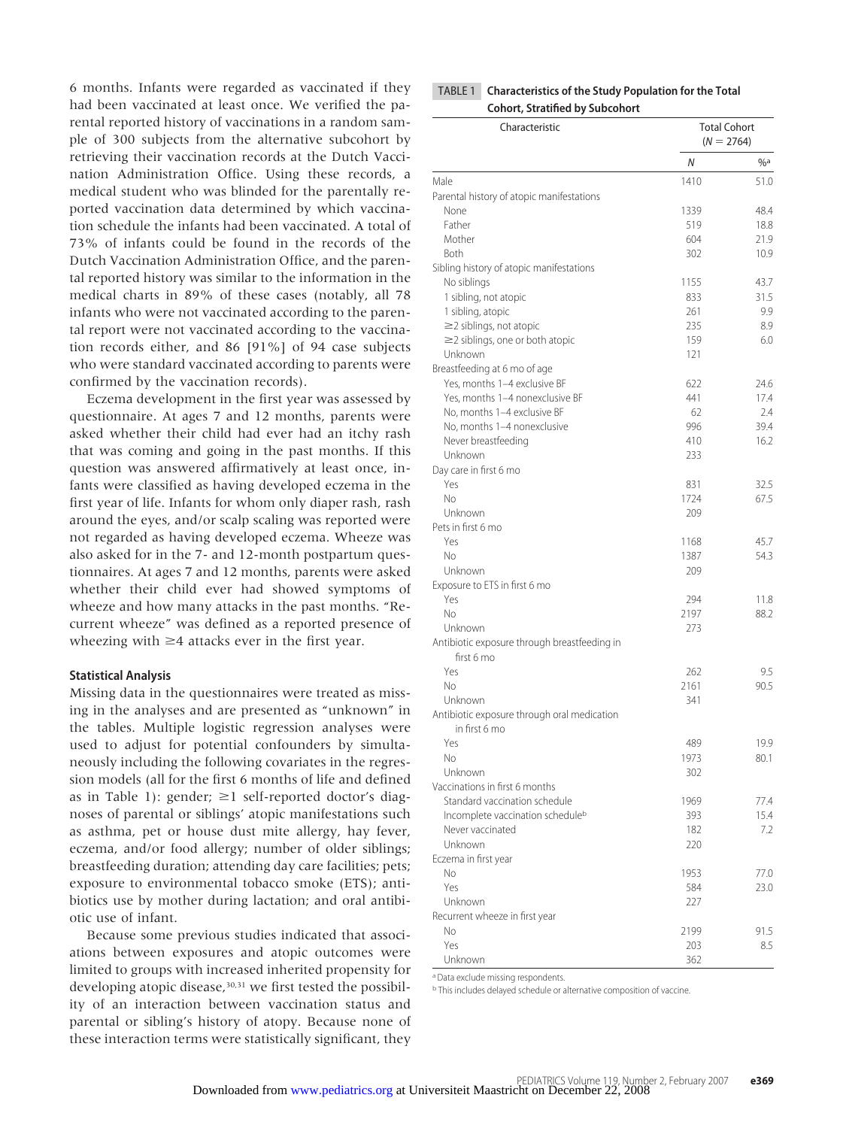6 months. Infants were regarded as vaccinated if they had been vaccinated at least once. We verified the parental reported history of vaccinations in a random sample of 300 subjects from the alternative subcohort by retrieving their vaccination records at the Dutch Vaccination Administration Office. Using these records, a medical student who was blinded for the parentally reported vaccination data determined by which vaccination schedule the infants had been vaccinated. A total of 73% of infants could be found in the records of the Dutch Vaccination Administration Office, and the parental reported history was similar to the information in the medical charts in 89% of these cases (notably, all 78 infants who were not vaccinated according to the parental report were not vaccinated according to the vaccination records either, and 86 [91%] of 94 case subjects who were standard vaccinated according to parents were confirmed by the vaccination records).

Eczema development in the first year was assessed by questionnaire. At ages 7 and 12 months, parents were asked whether their child had ever had an itchy rash that was coming and going in the past months. If this question was answered affirmatively at least once, infants were classified as having developed eczema in the first year of life. Infants for whom only diaper rash, rash around the eyes, and/or scalp scaling was reported were not regarded as having developed eczema. Wheeze was also asked for in the 7- and 12-month postpartum questionnaires. At ages 7 and 12 months, parents were asked whether their child ever had showed symptoms of wheeze and how many attacks in the past months. "Recurrent wheeze" was defined as a reported presence of wheezing with  $\geq 4$  attacks ever in the first year.

# **Statistical Analysis**

Missing data in the questionnaires were treated as missing in the analyses and are presented as "unknown" in the tables. Multiple logistic regression analyses were used to adjust for potential confounders by simultaneously including the following covariates in the regression models (all for the first 6 months of life and defined as in Table 1): gender;  $\geq 1$  self-reported doctor's diagnoses of parental or siblings' atopic manifestations such as asthma, pet or house dust mite allergy, hay fever, eczema, and/or food allergy; number of older siblings; breastfeeding duration; attending day care facilities; pets; exposure to environmental tobacco smoke (ETS); antibiotics use by mother during lactation; and oral antibiotic use of infant.

Because some previous studies indicated that associations between exposures and atopic outcomes were limited to groups with increased inherited propensity for developing atopic disease,<sup>30,31</sup> we first tested the possibility of an interaction between vaccination status and parental or sibling's history of atopy. Because none of these interaction terms were statistically significant, they

| TABLE 1 Characteristics of the Study Population for the Total |
|---------------------------------------------------------------|
| <b>Cohort, Stratified by Subcohort</b>                        |

| Characteristic                                               | <b>Total Cohort</b><br>$(N = 2764)$ |        |  |
|--------------------------------------------------------------|-------------------------------------|--------|--|
|                                                              | N                                   | $\%$ a |  |
| Male                                                         | 1410                                | 51.0   |  |
| Parental history of atopic manifestations                    |                                     |        |  |
| None                                                         | 1339                                | 48.4   |  |
| Father                                                       | 519                                 | 18.8   |  |
| Mother                                                       | 604                                 | 21.9   |  |
| Both                                                         | 302                                 | 10.9   |  |
| Sibling history of atopic manifestations                     |                                     |        |  |
| No siblings                                                  | 1155                                | 43.7   |  |
| 1 sibling, not atopic                                        | 833                                 | 31.5   |  |
| 1 sibling, atopic                                            | 261                                 | 9.9    |  |
| $\geq$ 2 siblings, not atopic                                | 235                                 | 8.9    |  |
| $\geq$ 2 siblings, one or both atopic                        | 159                                 | 6.0    |  |
| Unknown                                                      | 121                                 |        |  |
| Breastfeeding at 6 mo of age                                 |                                     |        |  |
| Yes, months 1-4 exclusive BF                                 | 622                                 | 24.6   |  |
| Yes, months 1-4 nonexclusive BF                              | 441                                 | 17.4   |  |
| No, months 1-4 exclusive BF                                  | 62                                  | 2.4    |  |
| No, months 1-4 nonexclusive                                  | 996                                 | 39.4   |  |
| Never breastfeeding                                          | 410                                 | 16.2   |  |
| Unknown                                                      | 233                                 |        |  |
| Day care in first 6 mo                                       |                                     |        |  |
| Yes                                                          | 831                                 | 32.5   |  |
| Nο                                                           | 1724                                | 67.5   |  |
| Unknown                                                      | 209                                 |        |  |
| Pets in first 6 mo                                           |                                     |        |  |
| Yes                                                          | 1168                                | 45.7   |  |
| No                                                           | 1387                                | 54.3   |  |
| Unknown                                                      | 209                                 |        |  |
| Exposure to ETS in first 6 mo                                |                                     |        |  |
| Yes                                                          | 294                                 | 11.8   |  |
| No                                                           | 2197                                | 88.2   |  |
| Unknown                                                      | 273                                 |        |  |
| Antibiotic exposure through breastfeeding in<br>first 6 mo   |                                     |        |  |
| Yes                                                          | 262                                 | 9.5    |  |
| No                                                           | 2161                                | 90.5   |  |
| Unknown                                                      | 341                                 |        |  |
| Antibiotic exposure through oral medication<br>in first 6 mo |                                     |        |  |
| Yes                                                          | 489                                 | 19.9   |  |
| Nο                                                           | 1973                                | 80.1   |  |
| Unknown                                                      | 302                                 |        |  |
| Vaccinations in first 6 months                               |                                     |        |  |
| Standard vaccination schedule                                | 1969                                | 77.4   |  |
| Incomplete vaccination schedule <sup>b</sup>                 | 393                                 | 15.4   |  |
| Never vaccinated                                             | 182                                 | 7.2    |  |
| Unknown                                                      | 220                                 |        |  |
| Eczema in first year                                         |                                     |        |  |
| Νo                                                           | 1953                                | 77.0   |  |
| Yes                                                          | 584                                 | 23.0   |  |
| Unknown                                                      | 227                                 |        |  |
| Recurrent wheeze in first year                               |                                     |        |  |
| No                                                           | 2199                                | 91.5   |  |
| Yes                                                          | 203                                 | 8.5    |  |
| Unknown                                                      | 362                                 |        |  |

<sup>a</sup> Data exclude missing respondents.

b This includes delayed schedule or alternative composition of vaccine.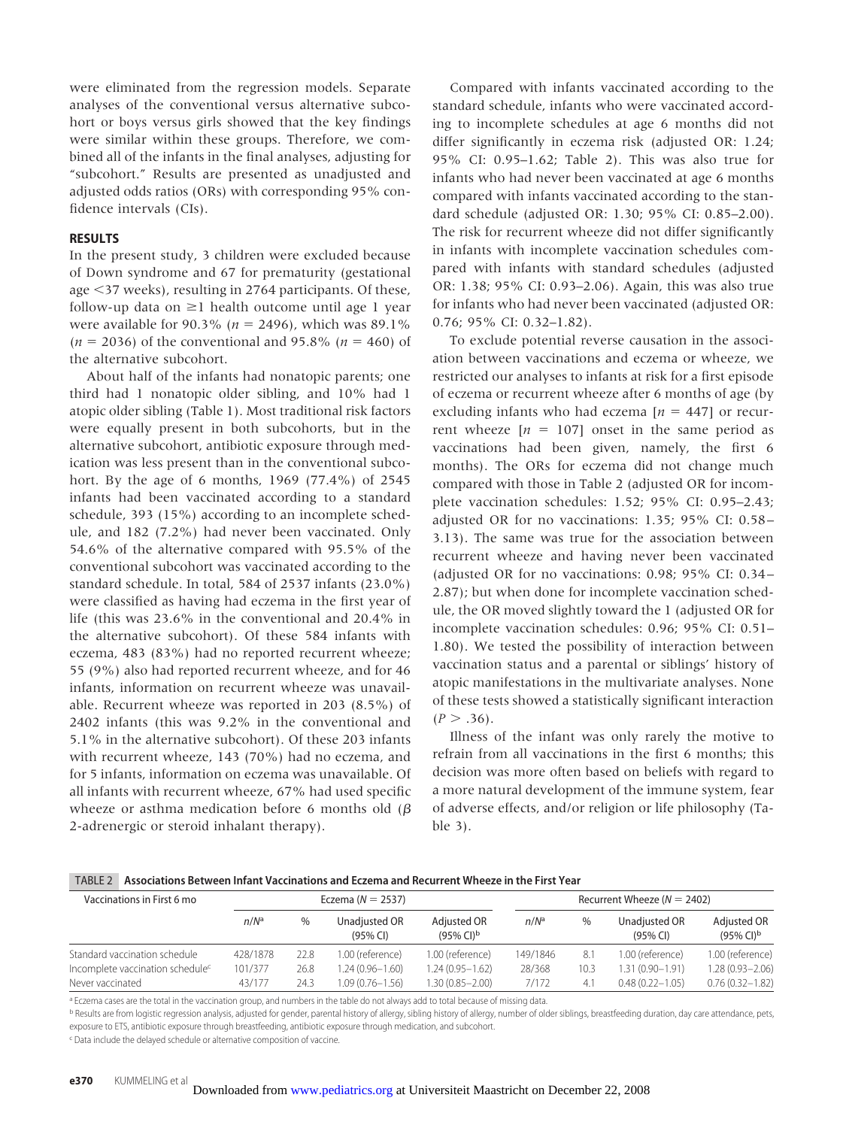were eliminated from the regression models. Separate analyses of the conventional versus alternative subcohort or boys versus girls showed that the key findings were similar within these groups. Therefore, we combined all of the infants in the final analyses, adjusting for "subcohort." Results are presented as unadjusted and adjusted odds ratios (ORs) with corresponding 95% confidence intervals (CIs).

### **RESULTS**

In the present study, 3 children were excluded because of Down syndrome and 67 for prematurity (gestational age 37 weeks), resulting in 2764 participants. Of these, follow-up data on  $\geq 1$  health outcome until age 1 year were available for  $90.3\%$  ( $n = 2496$ ), which was 89.1%  $(n = 2036)$  of the conventional and 95.8%  $(n = 460)$  of the alternative subcohort.

About half of the infants had nonatopic parents; one third had 1 nonatopic older sibling, and 10% had 1 atopic older sibling (Table 1). Most traditional risk factors were equally present in both subcohorts, but in the alternative subcohort, antibiotic exposure through medication was less present than in the conventional subcohort. By the age of 6 months, 1969 (77.4%) of 2545 infants had been vaccinated according to a standard schedule, 393 (15%) according to an incomplete schedule, and 182 (7.2%) had never been vaccinated. Only 54.6% of the alternative compared with 95.5% of the conventional subcohort was vaccinated according to the standard schedule. In total, 584 of 2537 infants (23.0%) were classified as having had eczema in the first year of life (this was 23.6% in the conventional and 20.4% in the alternative subcohort). Of these 584 infants with eczema, 483 (83%) had no reported recurrent wheeze; 55 (9%) also had reported recurrent wheeze, and for 46 infants, information on recurrent wheeze was unavailable. Recurrent wheeze was reported in 203 (8.5%) of 2402 infants (this was 9.2% in the conventional and 5.1% in the alternative subcohort). Of these 203 infants with recurrent wheeze, 143 (70%) had no eczema, and for 5 infants, information on eczema was unavailable. Of all infants with recurrent wheeze, 67% had used specific wheeze or asthma medication before 6 months old ( $\beta$ 2-adrenergic or steroid inhalant therapy).

Compared with infants vaccinated according to the standard schedule, infants who were vaccinated according to incomplete schedules at age 6 months did not differ significantly in eczema risk (adjusted OR: 1.24; 95% CI: 0.95–1.62; Table 2). This was also true for infants who had never been vaccinated at age 6 months compared with infants vaccinated according to the standard schedule (adjusted OR: 1.30; 95% CI: 0.85–2.00). The risk for recurrent wheeze did not differ significantly in infants with incomplete vaccination schedules compared with infants with standard schedules (adjusted OR: 1.38; 95% CI: 0.93–2.06). Again, this was also true for infants who had never been vaccinated (adjusted OR: 0.76; 95% CI: 0.32–1.82).

To exclude potential reverse causation in the association between vaccinations and eczema or wheeze, we restricted our analyses to infants at risk for a first episode of eczema or recurrent wheeze after 6 months of age (by excluding infants who had eczema  $[n = 447]$  or recurrent wheeze  $[n = 107]$  onset in the same period as vaccinations had been given, namely, the first 6 months). The ORs for eczema did not change much compared with those in Table 2 (adjusted OR for incomplete vaccination schedules: 1.52; 95% CI: 0.95–2.43; adjusted OR for no vaccinations: 1.35; 95% CI: 0.58 – 3.13). The same was true for the association between recurrent wheeze and having never been vaccinated (adjusted OR for no vaccinations: 0.98; 95% CI: 0.34 – 2.87); but when done for incomplete vaccination schedule, the OR moved slightly toward the 1 (adjusted OR for incomplete vaccination schedules: 0.96; 95% CI: 0.51– 1.80). We tested the possibility of interaction between vaccination status and a parental or siblings' history of atopic manifestations in the multivariate analyses. None of these tests showed a statistically significant interaction  $(P > .36)$ .

Illness of the infant was only rarely the motive to refrain from all vaccinations in the first 6 months; this decision was more often based on beliefs with regard to a more natural development of the immune system, fear of adverse effects, and/or religion or life philosophy (Table 3).

|  | TABLE 2 Associations Between Infant Vaccinations and Eczema and Recurrent Wheeze in the First Year |
|--|----------------------------------------------------------------------------------------------------|
|--|----------------------------------------------------------------------------------------------------|

| Vaccinations in First 6 mo                   | Eczema ( $N = 2537$ ) |      |                             | Recurrent Wheeze ( $N = 2402$ )        |                  |      |                             |                                         |
|----------------------------------------------|-----------------------|------|-----------------------------|----------------------------------------|------------------|------|-----------------------------|-----------------------------------------|
|                                              | n/N <sup>a</sup>      | %    | Unadjusted OR<br>$(95%$ CI) | Adjusted OR<br>$(95%$ CI) <sup>b</sup> | n/N <sup>a</sup> | %    | Unadjusted OR<br>$(95%$ CI) | Adjusted OR<br>$(95\%$ CI) <sup>b</sup> |
| Standard vaccination schedule                | 428/1878              | 22.8 | 1.00 (reference)            | 1.00 (reference)                       | 149/1846         | 8.1  | 1.00 (reference)            | 1.00 (reference)                        |
| Incomplete vaccination schedule <sup>c</sup> | 101/377               | 26.8 | $1.24(0.96 - 1.60)$         | $1.24(0.95 - 1.62)$                    | 28/368           | 10.3 | 1.31 (0.90-1.91)            | $1.28(0.93 - 2.06)$                     |
| Never vaccinated                             | 43/177                | 24.3 | $1.09(0.76 - 1.56)$         | 1.30 (0.85-2.00)                       | 7/172            | 4.1  | $0.48(0.22 - 1.05)$         | $0.76(0.32 - 1.82)$                     |

a Eczema cases are the total in the vaccination group, and numbers in the table do not always add to total because of missing data.

b Results are from logistic regression analysis, adjusted for gender, parental history of allergy, sibling history of allergy, number of older siblings, breastfeeding duration, day care attendance, pets, exposure to ETS, antibiotic exposure through breastfeeding, antibiotic exposure through medication, and subcohort.

c Data include the delayed schedule or alternative composition of vaccine.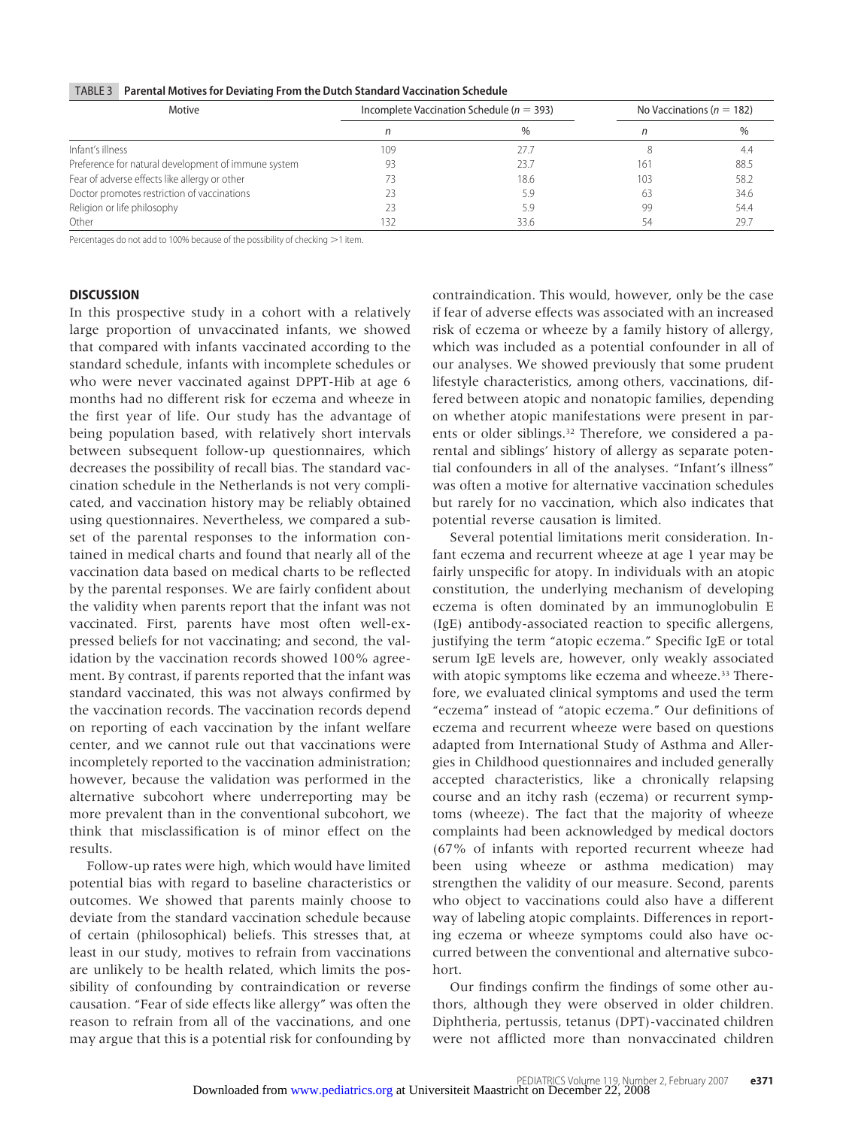|  | TABLE 3   Parental Motives for Deviating From the Dutch Standard Vaccination Schedule |
|--|---------------------------------------------------------------------------------------|
|--|---------------------------------------------------------------------------------------|

| Motive                                              |     | Incomplete Vaccination Schedule ( $n = 393$ ) | No Vaccinations ( $n = 182$ ) |      |
|-----------------------------------------------------|-----|-----------------------------------------------|-------------------------------|------|
|                                                     |     | $\%$                                          |                               | %    |
| Infant's illness                                    | 109 | 27.7                                          |                               | 4.4  |
| Preference for natural development of immune system | 93  | 23.7                                          | 161                           | 88.5 |
| Fear of adverse effects like allergy or other       | 73  | 18.6                                          | 103                           | 58.2 |
| Doctor promotes restriction of vaccinations         | 23  | 5.9                                           | 63                            | 34.6 |
| Religion or life philosophy                         | 23  | 5.9                                           | 99                            | 54.4 |
| Other                                               | 132 | 33.6                                          |                               | 29.7 |

Percentages do not add to 100% because of the possibility of checking >1 item.

# **DISCUSSION**

In this prospective study in a cohort with a relatively large proportion of unvaccinated infants, we showed that compared with infants vaccinated according to the standard schedule, infants with incomplete schedules or who were never vaccinated against DPPT-Hib at age 6 months had no different risk for eczema and wheeze in the first year of life. Our study has the advantage of being population based, with relatively short intervals between subsequent follow-up questionnaires, which decreases the possibility of recall bias. The standard vaccination schedule in the Netherlands is not very complicated, and vaccination history may be reliably obtained using questionnaires. Nevertheless, we compared a subset of the parental responses to the information contained in medical charts and found that nearly all of the vaccination data based on medical charts to be reflected by the parental responses. We are fairly confident about the validity when parents report that the infant was not vaccinated. First, parents have most often well-expressed beliefs for not vaccinating; and second, the validation by the vaccination records showed 100% agreement. By contrast, if parents reported that the infant was standard vaccinated, this was not always confirmed by the vaccination records. The vaccination records depend on reporting of each vaccination by the infant welfare center, and we cannot rule out that vaccinations were incompletely reported to the vaccination administration; however, because the validation was performed in the alternative subcohort where underreporting may be more prevalent than in the conventional subcohort, we think that misclassification is of minor effect on the results.

Follow-up rates were high, which would have limited potential bias with regard to baseline characteristics or outcomes. We showed that parents mainly choose to deviate from the standard vaccination schedule because of certain (philosophical) beliefs. This stresses that, at least in our study, motives to refrain from vaccinations are unlikely to be health related, which limits the possibility of confounding by contraindication or reverse causation. "Fear of side effects like allergy" was often the reason to refrain from all of the vaccinations, and one may argue that this is a potential risk for confounding by contraindication. This would, however, only be the case if fear of adverse effects was associated with an increased risk of eczema or wheeze by a family history of allergy, which was included as a potential confounder in all of our analyses. We showed previously that some prudent lifestyle characteristics, among others, vaccinations, differed between atopic and nonatopic families, depending on whether atopic manifestations were present in parents or older siblings.<sup>32</sup> Therefore, we considered a parental and siblings' history of allergy as separate potential confounders in all of the analyses. "Infant's illness" was often a motive for alternative vaccination schedules but rarely for no vaccination, which also indicates that potential reverse causation is limited.

Several potential limitations merit consideration. Infant eczema and recurrent wheeze at age 1 year may be fairly unspecific for atopy. In individuals with an atopic constitution, the underlying mechanism of developing eczema is often dominated by an immunoglobulin E (IgE) antibody-associated reaction to specific allergens, justifying the term "atopic eczema." Specific IgE or total serum IgE levels are, however, only weakly associated with atopic symptoms like eczema and wheeze.<sup>33</sup> Therefore, we evaluated clinical symptoms and used the term "eczema" instead of "atopic eczema." Our definitions of eczema and recurrent wheeze were based on questions adapted from International Study of Asthma and Allergies in Childhood questionnaires and included generally accepted characteristics, like a chronically relapsing course and an itchy rash (eczema) or recurrent symptoms (wheeze). The fact that the majority of wheeze complaints had been acknowledged by medical doctors (67% of infants with reported recurrent wheeze had been using wheeze or asthma medication) may strengthen the validity of our measure. Second, parents who object to vaccinations could also have a different way of labeling atopic complaints. Differences in reporting eczema or wheeze symptoms could also have occurred between the conventional and alternative subcohort.

Our findings confirm the findings of some other authors, although they were observed in older children. Diphtheria, pertussis, tetanus (DPT)-vaccinated children were not afflicted more than nonvaccinated children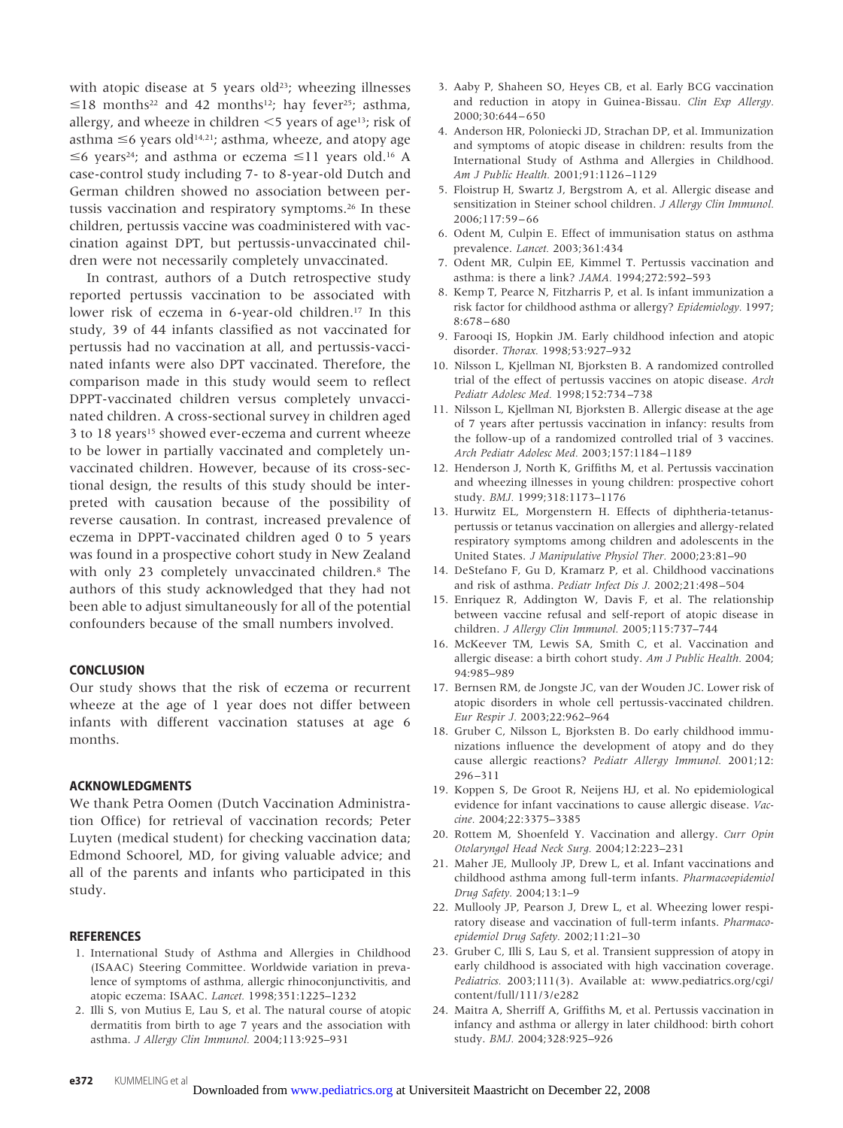with atopic disease at 5 years old<sup>23</sup>; wheezing illnesses  $\leq$ 18 months<sup>22</sup> and 42 months<sup>12</sup>; hay fever<sup>25</sup>; asthma, allergy, and wheeze in children  $\leq$  years of age<sup>13</sup>; risk of asthma  $\leq$ 6 years old<sup>14,21</sup>; asthma, wheeze, and atopy age  $\leq$ 6 years<sup>24</sup>; and asthma or eczema  $\leq$ 11 years old.<sup>16</sup> A case-control study including 7- to 8-year-old Dutch and German children showed no association between pertussis vaccination and respiratory symptoms.26 In these children, pertussis vaccine was coadministered with vaccination against DPT, but pertussis-unvaccinated children were not necessarily completely unvaccinated.

In contrast, authors of a Dutch retrospective study reported pertussis vaccination to be associated with lower risk of eczema in 6-year-old children.17 In this study, 39 of 44 infants classified as not vaccinated for pertussis had no vaccination at all, and pertussis-vaccinated infants were also DPT vaccinated. Therefore, the comparison made in this study would seem to reflect DPPT-vaccinated children versus completely unvaccinated children. A cross-sectional survey in children aged 3 to 18 years<sup>15</sup> showed ever-eczema and current wheeze to be lower in partially vaccinated and completely unvaccinated children. However, because of its cross-sectional design, the results of this study should be interpreted with causation because of the possibility of reverse causation. In contrast, increased prevalence of eczema in DPPT-vaccinated children aged 0 to 5 years was found in a prospective cohort study in New Zealand with only 23 completely unvaccinated children.8 The authors of this study acknowledged that they had not been able to adjust simultaneously for all of the potential confounders because of the small numbers involved.

# **CONCLUSION**

Our study shows that the risk of eczema or recurrent wheeze at the age of 1 year does not differ between infants with different vaccination statuses at age 6 months.

# **ACKNOWLEDGMENTS**

We thank Petra Oomen (Dutch Vaccination Administration Office) for retrieval of vaccination records; Peter Luyten (medical student) for checking vaccination data; Edmond Schoorel, MD, for giving valuable advice; and all of the parents and infants who participated in this study.

#### **REFERENCES**

- 1. International Study of Asthma and Allergies in Childhood (ISAAC) Steering Committee. Worldwide variation in prevalence of symptoms of asthma, allergic rhinoconjunctivitis, and atopic eczema: ISAAC. *Lancet.* 1998;351:1225–1232
- 2. Illi S, von Mutius E, Lau S, et al. The natural course of atopic dermatitis from birth to age 7 years and the association with asthma. *J Allergy Clin Immunol.* 2004;113:925–931
- 3. Aaby P, Shaheen SO, Heyes CB, et al. Early BCG vaccination and reduction in atopy in Guinea-Bissau. *Clin Exp Allergy.* 2000;30:644 – 650
- 4. Anderson HR, Poloniecki JD, Strachan DP, et al. Immunization and symptoms of atopic disease in children: results from the International Study of Asthma and Allergies in Childhood. *Am J Public Health.* 2001;91:1126 –1129
- 5. Floistrup H, Swartz J, Bergstrom A, et al. Allergic disease and sensitization in Steiner school children. *J Allergy Clin Immunol.* 2006;117:59 – 66
- 6. Odent M, Culpin E. Effect of immunisation status on asthma prevalence. *Lancet.* 2003;361:434
- 7. Odent MR, Culpin EE, Kimmel T. Pertussis vaccination and asthma: is there a link? *JAMA.* 1994;272:592–593
- 8. Kemp T, Pearce N, Fitzharris P, et al. Is infant immunization a risk factor for childhood asthma or allergy? *Epidemiology.* 1997; 8:678 – 680
- 9. Farooqi IS, Hopkin JM. Early childhood infection and atopic disorder. *Thorax.* 1998;53:927–932
- 10. Nilsson L, Kjellman NI, Bjorksten B. A randomized controlled trial of the effect of pertussis vaccines on atopic disease. *Arch Pediatr Adolesc Med.* 1998;152:734 –738
- 11. Nilsson L, Kjellman NI, Bjorksten B. Allergic disease at the age of 7 years after pertussis vaccination in infancy: results from the follow-up of a randomized controlled trial of 3 vaccines. *Arch Pediatr Adolesc Med.* 2003;157:1184 –1189
- 12. Henderson J, North K, Griffiths M, et al. Pertussis vaccination and wheezing illnesses in young children: prospective cohort study. *BMJ.* 1999;318:1173–1176
- 13. Hurwitz EL, Morgenstern H. Effects of diphtheria-tetanuspertussis or tetanus vaccination on allergies and allergy-related respiratory symptoms among children and adolescents in the United States. *J Manipulative Physiol Ther.* 2000;23:81–90
- 14. DeStefano F, Gu D, Kramarz P, et al. Childhood vaccinations and risk of asthma. *Pediatr Infect Dis J.* 2002;21:498 –504
- 15. Enriquez R, Addington W, Davis F, et al. The relationship between vaccine refusal and self-report of atopic disease in children. *J Allergy Clin Immunol.* 2005;115:737–744
- 16. McKeever TM, Lewis SA, Smith C, et al. Vaccination and allergic disease: a birth cohort study. *Am J Public Health.* 2004; 94:985–989
- 17. Bernsen RM, de Jongste JC, van der Wouden JC. Lower risk of atopic disorders in whole cell pertussis-vaccinated children. *Eur Respir J.* 2003;22:962–964
- 18. Gruber C, Nilsson L, Bjorksten B. Do early childhood immunizations influence the development of atopy and do they cause allergic reactions? *Pediatr Allergy Immunol.* 2001;12: 296 –311
- 19. Koppen S, De Groot R, Neijens HJ, et al. No epidemiological evidence for infant vaccinations to cause allergic disease. *Vaccine.* 2004;22:3375–3385
- 20. Rottem M, Shoenfeld Y. Vaccination and allergy. *Curr Opin Otolaryngol Head Neck Surg.* 2004;12:223–231
- 21. Maher JE, Mullooly JP, Drew L, et al. Infant vaccinations and childhood asthma among full-term infants. *Pharmacoepidemiol Drug Safety.* 2004;13:1–9
- 22. Mullooly JP, Pearson J, Drew L, et al. Wheezing lower respiratory disease and vaccination of full-term infants. *Pharmacoepidemiol Drug Safety.* 2002;11:21–30
- 23. Gruber C, Illi S, Lau S, et al. Transient suppression of atopy in early childhood is associated with high vaccination coverage. *Pediatrics.* 2003;111(3). Available at: www.pediatrics.org/cgi/ content/full/111/3/e282
- 24. Maitra A, Sherriff A, Griffiths M, et al. Pertussis vaccination in infancy and asthma or allergy in later childhood: birth cohort study. *BMJ.* 2004;328:925–926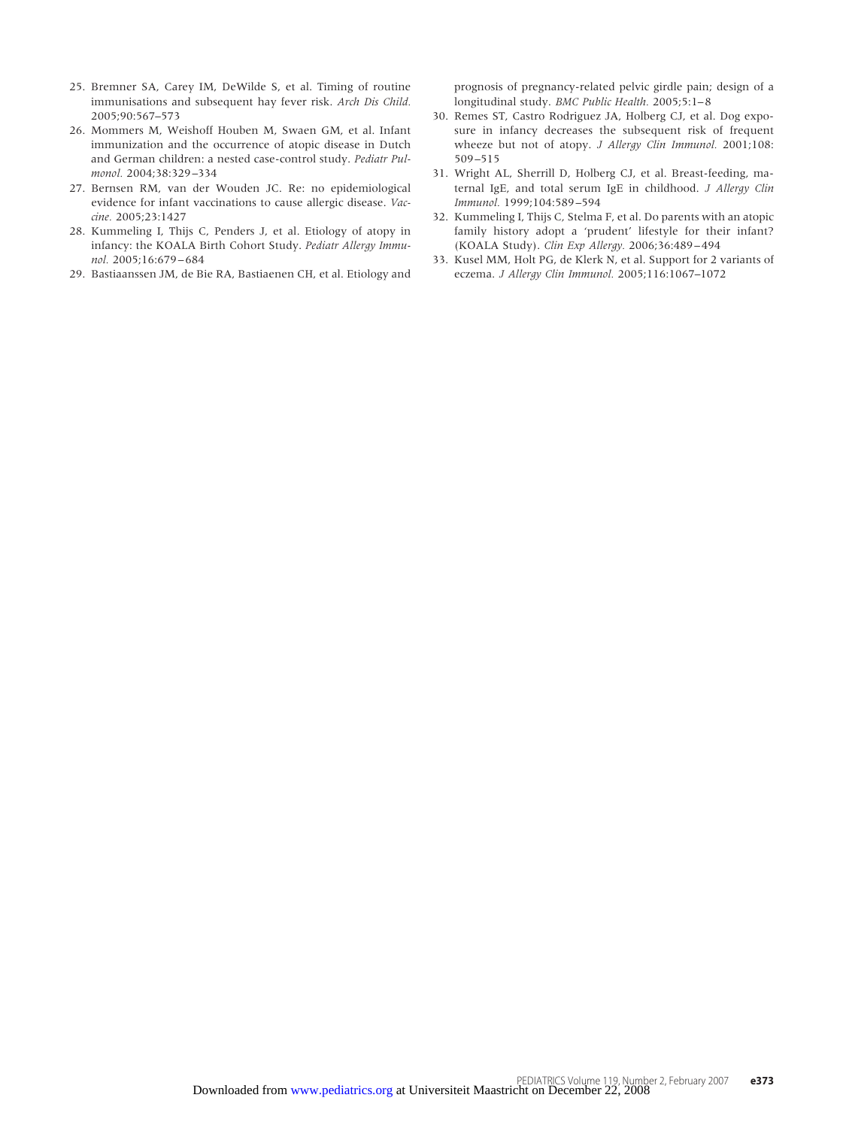- 25. Bremner SA, Carey IM, DeWilde S, et al. Timing of routine immunisations and subsequent hay fever risk. *Arch Dis Child.* 2005;90:567–573
- 26. Mommers M, Weishoff Houben M, Swaen GM, et al. Infant immunization and the occurrence of atopic disease in Dutch and German children: a nested case-control study. *Pediatr Pulmonol.* 2004;38:329 –334
- 27. Bernsen RM, van der Wouden JC. Re: no epidemiological evidence for infant vaccinations to cause allergic disease. *Vaccine.* 2005;23:1427
- 28. Kummeling I, Thijs C, Penders J, et al. Etiology of atopy in infancy: the KOALA Birth Cohort Study. *Pediatr Allergy Immunol.* 2005;16:679 – 684
- 29. Bastiaanssen JM, de Bie RA, Bastiaenen CH, et al. Etiology and

prognosis of pregnancy-related pelvic girdle pain; design of a longitudinal study. *BMC Public Health.* 2005;5:1-8

- 30. Remes ST, Castro Rodriguez JA, Holberg CJ, et al. Dog exposure in infancy decreases the subsequent risk of frequent wheeze but not of atopy. *J Allergy Clin Immunol.* 2001;108: 509 –515
- 31. Wright AL, Sherrill D, Holberg CJ, et al. Breast-feeding, maternal IgE, and total serum IgE in childhood. *J Allergy Clin Immunol.* 1999;104:589 –594
- 32. Kummeling I, Thijs C, Stelma F, et al. Do parents with an atopic family history adopt a 'prudent' lifestyle for their infant? (KOALA Study). *Clin Exp Allergy.* 2006;36:489 – 494
- 33. Kusel MM, Holt PG, de Klerk N, et al. Support for 2 variants of eczema. *J Allergy Clin Immunol.* 2005;116:1067–1072